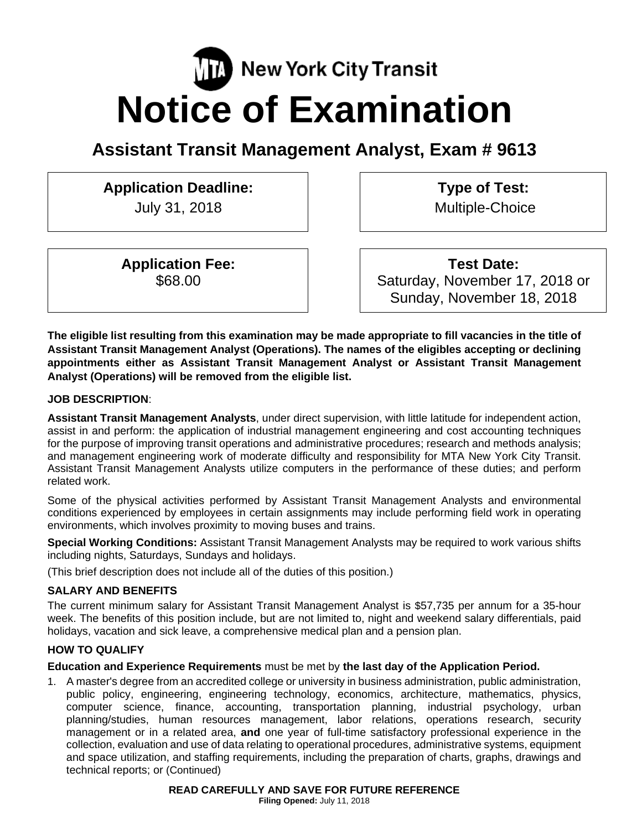# **New York City Transit Notice of Examination**

# **Assistant Transit Management Analyst, Exam # 9613**

# **Application Deadline:**

July 31, 2018

**Type of Test:**  Multiple-Choice

**Application Fee:**  \$68.00

**Test Date:** Saturday, November 17, 2018 or Sunday, November 18, 2018

**The eligible list resulting from this examination may be made appropriate to fill vacancies in the title of Assistant Transit Management Analyst (Operations). The names of the eligibles accepting or declining appointments either as Assistant Transit Management Analyst or Assistant Transit Management Analyst (Operations) will be removed from the eligible list.** 

# **JOB DESCRIPTION**:

**Assistant Transit Management Analysts**, under direct supervision, with little latitude for independent action, assist in and perform: the application of industrial management engineering and cost accounting techniques for the purpose of improving transit operations and administrative procedures; research and methods analysis; and management engineering work of moderate difficulty and responsibility for MTA New York City Transit. Assistant Transit Management Analysts utilize computers in the performance of these duties; and perform related work.

Some of the physical activities performed by Assistant Transit Management Analysts and environmental conditions experienced by employees in certain assignments may include performing field work in operating environments, which involves proximity to moving buses and trains.

**Special Working Conditions:** Assistant Transit Management Analysts may be required to work various shifts including nights, Saturdays, Sundays and holidays.

(This brief description does not include all of the duties of this position.)

# **SALARY AND BENEFITS**

The current minimum salary for Assistant Transit Management Analyst is \$57,735 per annum for a 35-hour week. The benefits of this position include, but are not limited to, night and weekend salary differentials, paid holidays, vacation and sick leave, a comprehensive medical plan and a pension plan.

# **HOW TO QUALIFY**

# **Education and Experience Requirements** must be met by **the last day of the Application Period.**

1. A master's degree from an accredited college or university in business administration, public administration, public policy, engineering, engineering technology, economics, architecture, mathematics, physics, computer science, finance, accounting, transportation planning, industrial psychology, urban planning/studies, human resources management, labor relations, operations research, security management or in a related area, **and** one year of full-time satisfactory professional experience in the collection, evaluation and use of data relating to operational procedures, administrative systems, equipment and space utilization, and staffing requirements, including the preparation of charts, graphs, drawings and technical reports; or (Continued)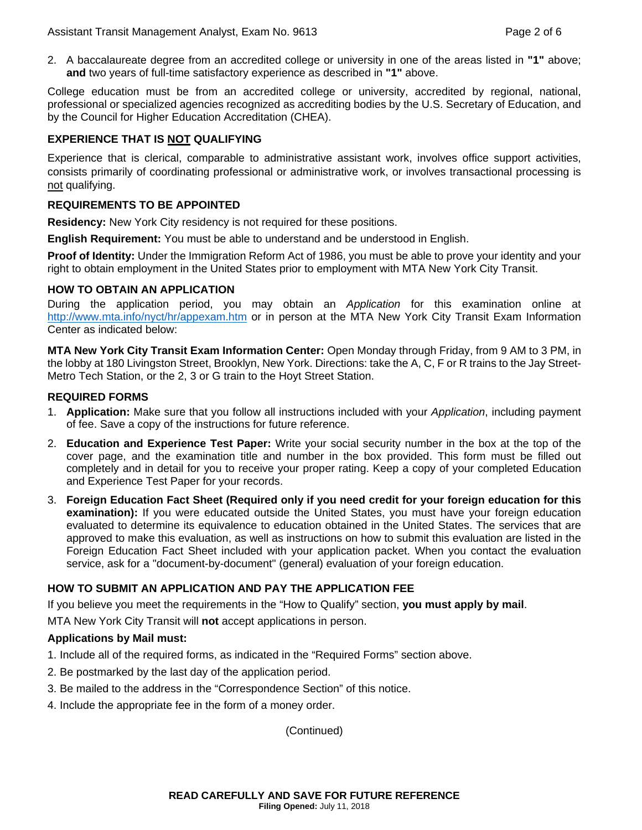2. A baccalaureate degree from an accredited college or university in one of the areas listed in **"1"** above; **and** two years of full-time satisfactory experience as described in **"1"** above.

College education must be from an accredited college or university, accredited by regional, national, professional or specialized agencies recognized as accrediting bodies by the U.S. Secretary of Education, and by the Council for Higher Education Accreditation (CHEA).

# **EXPERIENCE THAT IS NOT QUALIFYING**

Experience that is clerical, comparable to administrative assistant work, involves office support activities, consists primarily of coordinating professional or administrative work, or involves transactional processing is not qualifying.

#### **REQUIREMENTS TO BE APPOINTED**

**Residency:** New York City residency is not required for these positions.

**English Requirement:** You must be able to understand and be understood in English.

**Proof of Identity:** Under the Immigration Reform Act of 1986, you must be able to prove your identity and your right to obtain employment in the United States prior to employment with MTA New York City Transit.

#### **HOW TO OBTAIN AN APPLICATION**

During the application period, you may obtain an *Application* for this examination online at http://www.mta.info/nyct/hr/appexam.htm or in person at the MTA New York City Transit Exam Information Center as indicated below:

**MTA New York City Transit Exam Information Center:** Open Monday through Friday, from 9 AM to 3 PM, in the lobby at 180 Livingston Street, Brooklyn, New York. Directions: take the A, C, F or R trains to the Jay Street-Metro Tech Station, or the 2, 3 or G train to the Hoyt Street Station.

#### **REQUIRED FORMS**

- 1. **Application:** Make sure that you follow all instructions included with your *Application*, including payment of fee. Save a copy of the instructions for future reference.
- 2. **Education and Experience Test Paper:** Write your social security number in the box at the top of the cover page, and the examination title and number in the box provided. This form must be filled out completely and in detail for you to receive your proper rating. Keep a copy of your completed Education and Experience Test Paper for your records.
- 3. **Foreign Education Fact Sheet (Required only if you need credit for your foreign education for this examination):** If you were educated outside the United States, you must have your foreign education evaluated to determine its equivalence to education obtained in the United States. The services that are approved to make this evaluation, as well as instructions on how to submit this evaluation are listed in the Foreign Education Fact Sheet included with your application packet. When you contact the evaluation service, ask for a "document-by-document" (general) evaluation of your foreign education.

#### **HOW TO SUBMIT AN APPLICATION AND PAY THE APPLICATION FEE**

If you believe you meet the requirements in the "How to Qualify" section, **you must apply by mail**.

MTA New York City Transit will **not** accept applications in person.

#### **Applications by Mail must:**

- 1. Include all of the required forms, as indicated in the "Required Forms" section above.
- 2. Be postmarked by the last day of the application period.
- 3. Be mailed to the address in the "Correspondence Section" of this notice.
- 4. Include the appropriate fee in the form of a money order.

(Continued)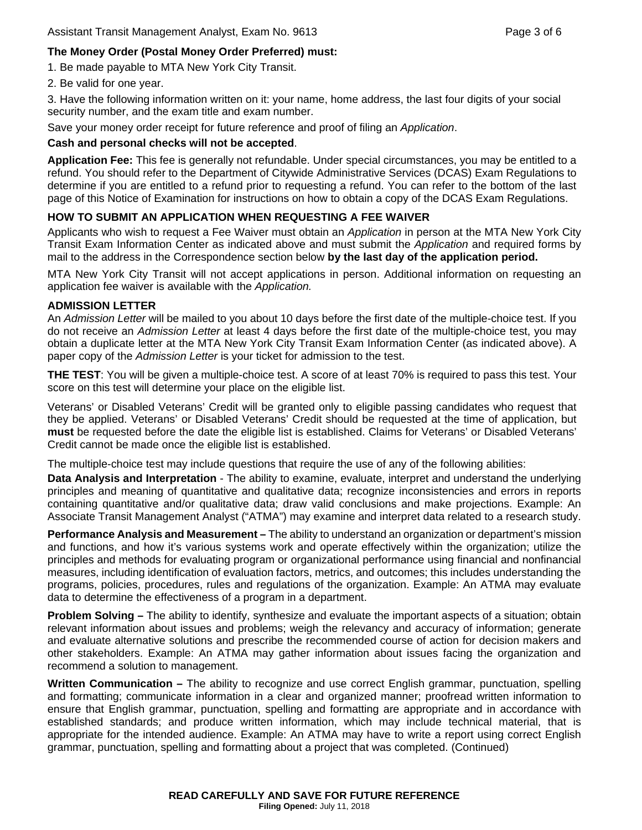# **The Money Order (Postal Money Order Preferred) must:**

1. Be made payable to MTA New York City Transit.

2. Be valid for one year.

3. Have the following information written on it: your name, home address, the last four digits of your social security number, and the exam title and exam number.

Save your money order receipt for future reference and proof of filing an *Application*.

# **Cash and personal checks will not be accepted**.

**Application Fee:** This fee is generally not refundable. Under special circumstances, you may be entitled to a refund. You should refer to the Department of Citywide Administrative Services (DCAS) Exam Regulations to determine if you are entitled to a refund prior to requesting a refund. You can refer to the bottom of the last page of this Notice of Examination for instructions on how to obtain a copy of the DCAS Exam Regulations.

# **HOW TO SUBMIT AN APPLICATION WHEN REQUESTING A FEE WAIVER**

Applicants who wish to request a Fee Waiver must obtain an *Application* in person at the MTA New York City Transit Exam Information Center as indicated above and must submit the *Application* and required forms by mail to the address in the Correspondence section below **by the last day of the application period.** 

MTA New York City Transit will not accept applications in person. Additional information on requesting an application fee waiver is available with the *Application.*

# **ADMISSION LETTER**

An *Admission Letter* will be mailed to you about 10 days before the first date of the multiple-choice test. If you do not receive an *Admission Letter* at least 4 days before the first date of the multiple-choice test, you may obtain a duplicate letter at the MTA New York City Transit Exam Information Center (as indicated above). A paper copy of the *Admission Letter* is your ticket for admission to the test.

**THE TEST**: You will be given a multiple-choice test. A score of at least 70% is required to pass this test. Your score on this test will determine your place on the eligible list.

Veterans' or Disabled Veterans' Credit will be granted only to eligible passing candidates who request that they be applied. Veterans' or Disabled Veterans' Credit should be requested at the time of application, but **must** be requested before the date the eligible list is established. Claims for Veterans' or Disabled Veterans' Credit cannot be made once the eligible list is established.

The multiple-choice test may include questions that require the use of any of the following abilities:

**Data Analysis and Interpretation** - The ability to examine, evaluate, interpret and understand the underlying principles and meaning of quantitative and qualitative data; recognize inconsistencies and errors in reports containing quantitative and/or qualitative data; draw valid conclusions and make projections. Example: An Associate Transit Management Analyst ("ATMA") may examine and interpret data related to a research study.

**Performance Analysis and Measurement –** The ability to understand an organization or department's mission and functions, and how it's various systems work and operate effectively within the organization; utilize the principles and methods for evaluating program or organizational performance using financial and nonfinancial measures, including identification of evaluation factors, metrics, and outcomes; this includes understanding the programs, policies, procedures, rules and regulations of the organization. Example: An ATMA may evaluate data to determine the effectiveness of a program in a department.

**Problem Solving –** The ability to identify, synthesize and evaluate the important aspects of a situation; obtain relevant information about issues and problems; weigh the relevancy and accuracy of information; generate and evaluate alternative solutions and prescribe the recommended course of action for decision makers and other stakeholders. Example: An ATMA may gather information about issues facing the organization and recommend a solution to management.

**Written Communication –** The ability to recognize and use correct English grammar, punctuation, spelling and formatting; communicate information in a clear and organized manner; proofread written information to ensure that English grammar, punctuation, spelling and formatting are appropriate and in accordance with established standards; and produce written information, which may include technical material, that is appropriate for the intended audience. Example: An ATMA may have to write a report using correct English grammar, punctuation, spelling and formatting about a project that was completed. (Continued)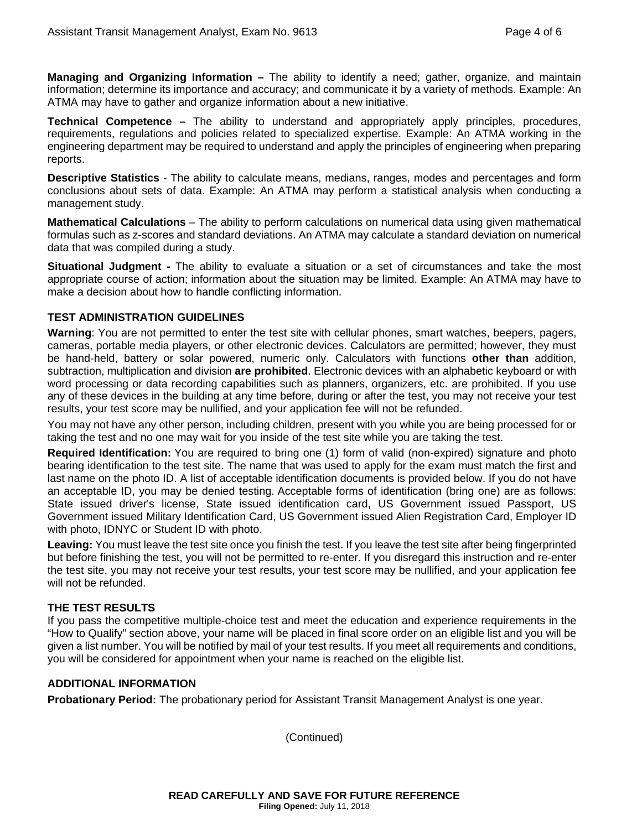**Managing and Organizing Information –** The ability to identify a need; gather, organize, and maintain information; determine its importance and accuracy; and communicate it by a variety of methods. Example: An ATMA may have to gather and organize information about a new initiative.

**Technical Competence –** The ability to understand and appropriately apply principles, procedures, requirements, regulations and policies related to specialized expertise. Example: An ATMA working in the engineering department may be required to understand and apply the principles of engineering when preparing reports.

**Descriptive Statistics** - The ability to calculate means, medians, ranges, modes and percentages and form conclusions about sets of data. Example: An ATMA may perform a statistical analysis when conducting a management study.

**Mathematical Calculations** – The ability to perform calculations on numerical data using given mathematical formulas such as z-scores and standard deviations. An ATMA may calculate a standard deviation on numerical data that was compiled during a study.

**Situational Judgment -** The ability to evaluate a situation or a set of circumstances and take the most appropriate course of action; information about the situation may be limited. Example: An ATMA may have to make a decision about how to handle conflicting information.

#### **TEST ADMINISTRATION GUIDELINES**

**Warning**: You are not permitted to enter the test site with cellular phones, smart watches, beepers, pagers, cameras, portable media players, or other electronic devices. Calculators are permitted; however, they must be hand-held, battery or solar powered, numeric only. Calculators with functions **other than** addition, subtraction, multiplication and division **are prohibited**. Electronic devices with an alphabetic keyboard or with word processing or data recording capabilities such as planners, organizers, etc. are prohibited. If you use any of these devices in the building at any time before, during or after the test, you may not receive your test results, your test score may be nullified, and your application fee will not be refunded.

You may not have any other person, including children, present with you while you are being processed for or taking the test and no one may wait for you inside of the test site while you are taking the test.

**Required Identification:** You are required to bring one (1) form of valid (non-expired) signature and photo bearing identification to the test site. The name that was used to apply for the exam must match the first and last name on the photo ID. A list of acceptable identification documents is provided below. If you do not have an acceptable ID, you may be denied testing. Acceptable forms of identification (bring one) are as follows: State issued driver's license, State issued identification card, US Government issued Passport, US Government issued Military Identification Card, US Government issued Alien Registration Card, Employer ID with photo, IDNYC or Student ID with photo.

**Leaving:** You must leave the test site once you finish the test. If you leave the test site after being fingerprinted but before finishing the test, you will not be permitted to re-enter. If you disregard this instruction and re-enter the test site, you may not receive your test results, your test score may be nullified, and your application fee will not be refunded.

# **THE TEST RESULTS**

If you pass the competitive multiple-choice test and meet the education and experience requirements in the "How to Qualify" section above, your name will be placed in final score order on an eligible list and you will be given a list number. You will be notified by mail of your test results. If you meet all requirements and conditions, you will be considered for appointment when your name is reached on the eligible list.

#### **ADDITIONAL INFORMATION**

**Probationary Period:** The probationary period for Assistant Transit Management Analyst is one year.

(Continued)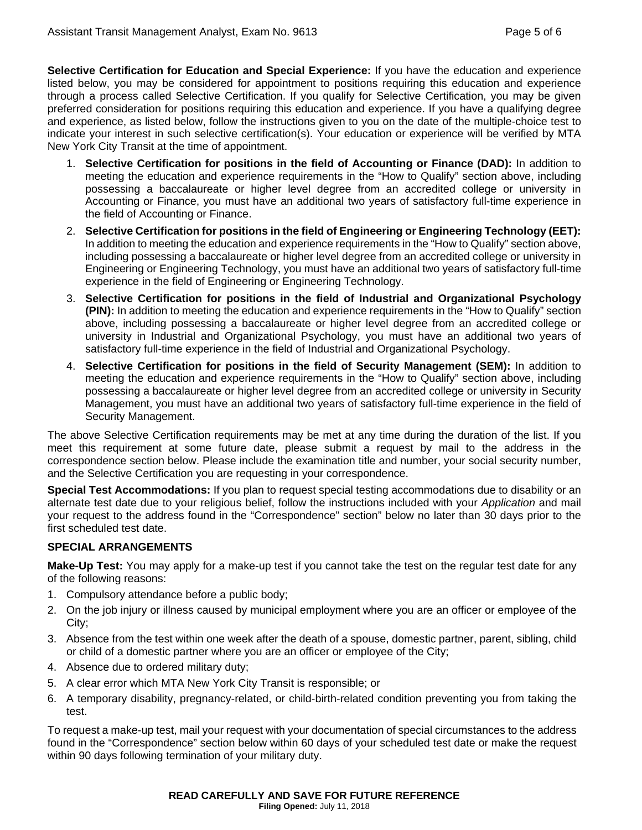**Selective Certification for Education and Special Experience:** If you have the education and experience listed below, you may be considered for appointment to positions requiring this education and experience through a process called Selective Certification. If you qualify for Selective Certification, you may be given preferred consideration for positions requiring this education and experience. If you have a qualifying degree and experience, as listed below, follow the instructions given to you on the date of the multiple-choice test to indicate your interest in such selective certification(s). Your education or experience will be verified by MTA New York City Transit at the time of appointment.

- 1. **Selective Certification for positions in the field of Accounting or Finance (DAD):** In addition to meeting the education and experience requirements in the "How to Qualify" section above, including possessing a baccalaureate or higher level degree from an accredited college or university in Accounting or Finance, you must have an additional two years of satisfactory full-time experience in the field of Accounting or Finance.
- 2. **Selective Certification for positions in the field of Engineering or Engineering Technology (EET):** In addition to meeting the education and experience requirements in the "How to Qualify" section above, including possessing a baccalaureate or higher level degree from an accredited college or university in Engineering or Engineering Technology, you must have an additional two years of satisfactory full-time experience in the field of Engineering or Engineering Technology.
- 3. **Selective Certification for positions in the field of Industrial and Organizational Psychology (PIN):** In addition to meeting the education and experience requirements in the "How to Qualify" section above, including possessing a baccalaureate or higher level degree from an accredited college or university in Industrial and Organizational Psychology, you must have an additional two years of satisfactory full-time experience in the field of Industrial and Organizational Psychology.
- 4. **Selective Certification for positions in the field of Security Management (SEM):** In addition to meeting the education and experience requirements in the "How to Qualify" section above, including possessing a baccalaureate or higher level degree from an accredited college or university in Security Management, you must have an additional two years of satisfactory full-time experience in the field of Security Management.

The above Selective Certification requirements may be met at any time during the duration of the list. If you meet this requirement at some future date, please submit a request by mail to the address in the correspondence section below. Please include the examination title and number, your social security number, and the Selective Certification you are requesting in your correspondence.

**Special Test Accommodations:** If you plan to request special testing accommodations due to disability or an alternate test date due to your religious belief, follow the instructions included with your *Application* and mail your request to the address found in the "Correspondence" section" below no later than 30 days prior to the first scheduled test date.

# **SPECIAL ARRANGEMENTS**

**Make-Up Test:** You may apply for a make-up test if you cannot take the test on the regular test date for any of the following reasons:

- 1. Compulsory attendance before a public body;
- 2. On the job injury or illness caused by municipal employment where you are an officer or employee of the City;
- 3. Absence from the test within one week after the death of a spouse, domestic partner, parent, sibling, child or child of a domestic partner where you are an officer or employee of the City;
- 4. Absence due to ordered military duty;
- 5. A clear error which MTA New York City Transit is responsible; or
- 6. A temporary disability, pregnancy-related, or child-birth-related condition preventing you from taking the test.

To request a make-up test, mail your request with your documentation of special circumstances to the address found in the "Correspondence" section below within 60 days of your scheduled test date or make the request within 90 days following termination of your military duty.